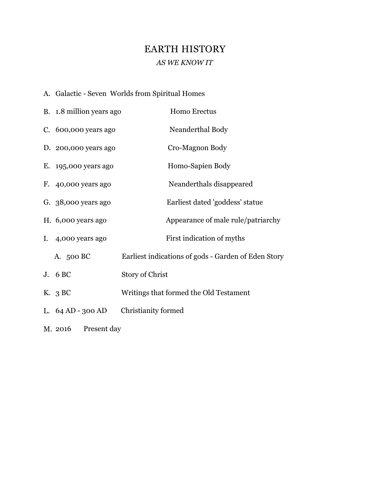## EARTH HISTORY *AS WE KNOW IT*

A. Galactic - Seven Worlds from Spiritual Homes

| B. 1.8 million years ago            | <b>Homo Erectus</b>                                 |
|-------------------------------------|-----------------------------------------------------|
| C. 600,000 years ago                | Neanderthal Body                                    |
| D. 200,000 years ago                | Cro-Magnon Body                                     |
| E. 195,000 years ago                | Homo-Sapien Body                                    |
| F. 40,000 years ago                 | Neanderthals disappeared                            |
| G. 38,000 years ago                 | Earliest dated 'goddess' statue                     |
| H. 6,000 years ago                  | Appearance of male rule/patriarchy                  |
| I. $\,$ 4,000 years ago             | First indication of myths                           |
| A. 500 BC                           | Earliest indications of gods - Garden of Eden Story |
| J. 6 BC                             | <b>Story of Christ</b>                              |
| K. 3 BC                             | Writings that formed the Old Testament              |
| L. $64 \text{ AD} - 300 \text{ AD}$ | Christianity formed                                 |
|                                     |                                                     |

M. 2016 Present day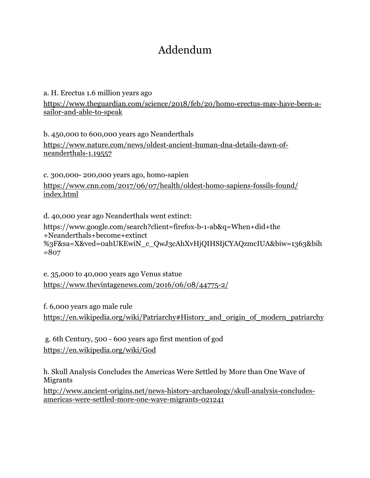## Addendum

a. H. Erectus 1.6 million years ago

[https://www.theguardian.com/science/2018/feb/20/homo-erectus-may-have-been-a](https://www.theguardian.com/science/2018/feb/20/homo-erectus-may-have-been-a-sailor-and-able-to-speak)sailor-and-able-to-speak

b. 450,000 to 600,000 years ago Neanderthals [https://www.nature.com/news/oldest-ancient-human-dna-details-dawn-of](https://www.nature.com/news/oldest-ancient-human-dna-details-dawn-of-neanderthals-1.19557)neanderthals-1.19557

c. 300,000- 200,000 years ago, homo-sapien [https://www.cnn.com/2017/06/07/health/oldest-homo-sapiens-fossils-found/](https://www.cnn.com/2017/06/07/health/oldest-homo-sapiens-fossils-found/index.html) index.html

d. 40,000 year ago Neanderthals went extinct: https://www.google.com/search?client=firefox-b-1-ab&q=When+did+the +Neanderthals+become+extinct %3F&sa=X&ved=0ahUKEwiN\_c\_QwJ3cAhXvHjQIHSIjCYAQzmcIUA&biw=1363&bih  $=807$ 

e. 35,000 to 40,000 years ago Venus statue <https://www.thevintagenews.com/2016/06/08/44775-2/>

f. 6,000 years ago male rule [https://en.wikipedia.org/wiki/Patriarchy#History\\_and\\_origin\\_of\\_modern\\_patriarchy](https://en.wikipedia.org/wiki/Patriarchy#History_and_origin_of_modern_patriarchy)

 g. 6th Century, 500 - 600 years ago first mention of god <https://en.wikipedia.org/wiki/God>

h. Skull Analysis Concludes the Americas Were Settled by More than One Wave of Migrants

[http://www.ancient-origins.net/news-history-archaeology/skull-analysis-concludes](http://www.ancient-origins.net/news-history-archaeology/skull-analysis-concludes-americas-were-settled-more-one-wave-migrants-021241)americas-were-settled-more-one-wave-migrants-021241